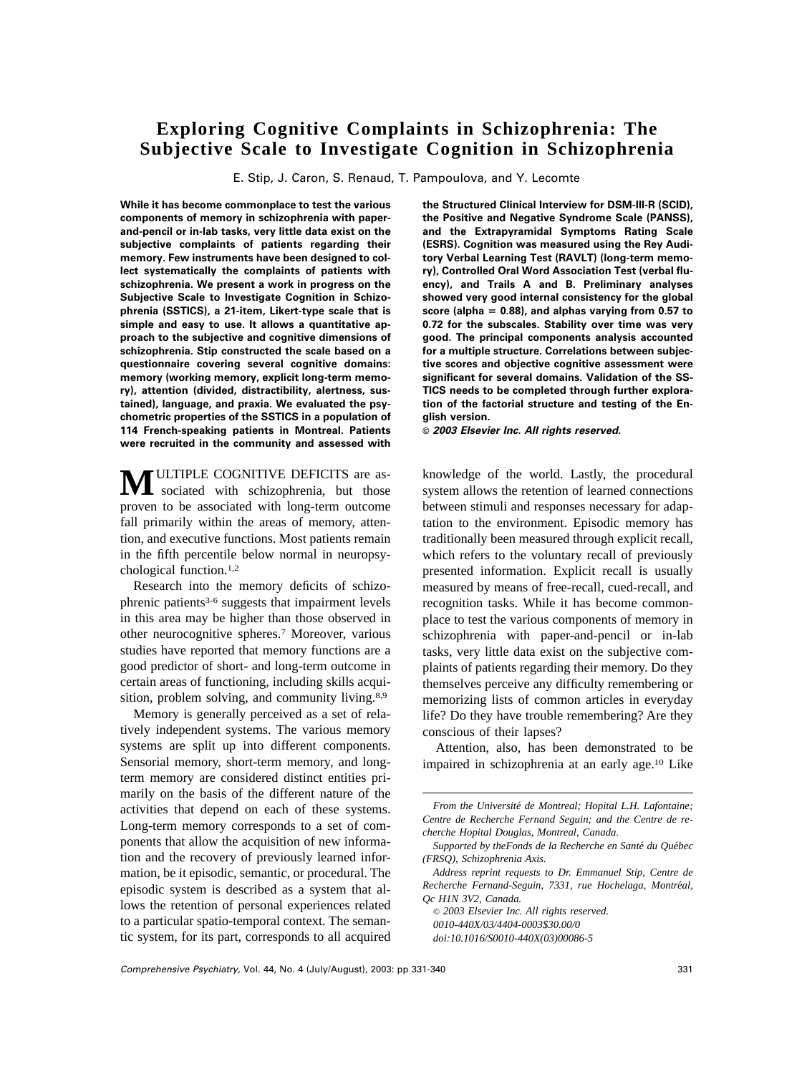# **Exploring Cognitive Complaints in Schizophrenia: The Subjective Scale to Investigate Cognition in Schizophrenia**

E. Stip, J. Caron, S. Renaud, T. Pampoulova, and Y. Lecomte

**While it has become commonplace to test the various components of memory in schizophrenia with paperand-pencil or in-lab tasks, very little data exist on the subjective complaints of patients regarding their memory. Few instruments have been designed to collect systematically the complaints of patients with schizophrenia. We present a work in progress on the Subjective Scale to Investigate Cognition in Schizophrenia (SSTICS), a 21-item, Likert-type scale that is simple and easy to use. It allows a quantitative approach to the subjective and cognitive dimensions of schizophrenia. Stip constructed the scale based on a questionnaire covering several cognitive domains: memory (working memory, explicit long-term memory), attention (divided, distractibility, alertness, sustained), language, and praxia. We evaluated the psychometric properties of the SSTICS in a population of 114 French-speaking patients in Montreal. Patients were recruited in the community and assessed with**

**M**ULTIPLE COGNITIVE DEFICITS are associated with schizophrenia, but those proven to be associated with long-term outcome fall primarily within the areas of memory, attention, and executive functions. Most patients remain in the fifth percentile below normal in neuropsychological function.1,2

Research into the memory deficits of schizophrenic patients3-6 suggests that impairment levels in this area may be higher than those observed in other neurocognitive spheres.7 Moreover, various studies have reported that memory functions are a good predictor of short- and long-term outcome in certain areas of functioning, including skills acquisition, problem solving, and community living.<sup>8,9</sup>

Memory is generally perceived as a set of relatively independent systems. The various memory systems are split up into different components. Sensorial memory, short-term memory, and longterm memory are considered distinct entities primarily on the basis of the different nature of the activities that depend on each of these systems. Long-term memory corresponds to a set of components that allow the acquisition of new information and the recovery of previously learned information, be it episodic, semantic, or procedural. The episodic system is described as a system that allows the retention of personal experiences related to a particular spatio-temporal context. The semantic system, for its part, corresponds to all acquired **the Structured Clinical Interview for DSM-III-R (SCID), the Positive and Negative Syndrome Scale (PANSS), and the Extrapyramidal Symptoms Rating Scale (ESRS). Cognition was measured using the Rey Auditory Verbal Learning Test (RAVLT) (long-term memory), Controlled Oral Word Association Test (verbal fluency), and Trails A and B. Preliminary analyses showed very good internal consistency for the global score (alpha 0.88), and alphas varying from 0.57 to 0.72 for the subscales. Stability over time was very good. The principal components analysis accounted for a multiple structure. Correlations between subjective scores and objective cognitive assessment were significant for several domains. Validation of the SS-TICS needs to be completed through further exploration of the factorial structure and testing of the English version.**

**©** *2003 Elsevier Inc. All rights reserved.*

knowledge of the world. Lastly, the procedural system allows the retention of learned connections between stimuli and responses necessary for adaptation to the environment. Episodic memory has traditionally been measured through explicit recall, which refers to the voluntary recall of previously presented information. Explicit recall is usually measured by means of free-recall, cued-recall, and recognition tasks. While it has become commonplace to test the various components of memory in schizophrenia with paper-and-pencil or in-lab tasks, very little data exist on the subjective complaints of patients regarding their memory. Do they themselves perceive any difficulty remembering or memorizing lists of common articles in everyday life? Do they have trouble remembering? Are they conscious of their lapses?

Attention, also, has been demonstrated to be impaired in schizophrenia at an early age.10 Like

*© 2003 Elsevier Inc. All rights reserved. 0010-440X/03/4404-0003\$30.00/0 doi:10.1016/S0010-440X(03)00086-5*

*From the Universite´ de Montreal; Hopital L.H. Lafontaine; Centre de Recherche Fernand Seguin; and the Centre de recherche Hopital Douglas, Montreal, Canada.*

*Supported by theFonds de la Recherche en Sante´ du Que´bec (FRSQ), Schizophrenia Axis.*

*Address reprint requests to Dr. Emmanuel Stip, Centre de Recherche Fernand-Seguin, 7331, rue Hochelaga, Montre´al, Qc H1N 3V2, Canada.*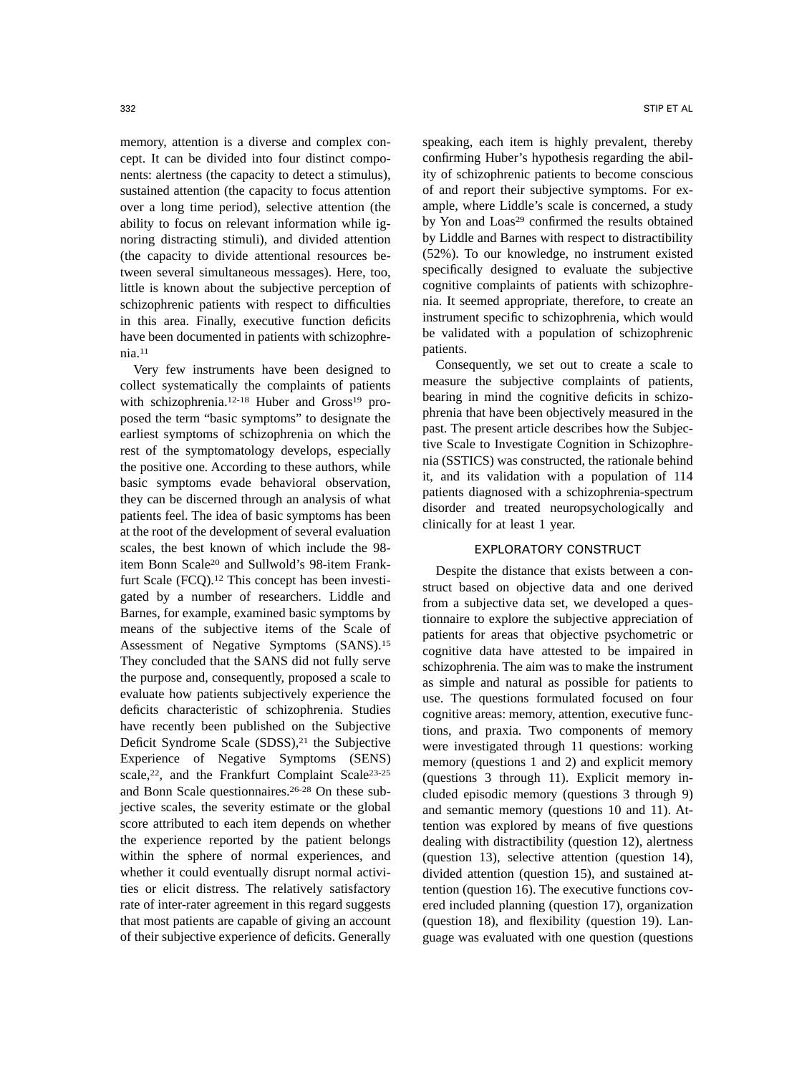memory, attention is a diverse and complex concept. It can be divided into four distinct components: alertness (the capacity to detect a stimulus), sustained attention (the capacity to focus attention over a long time period), selective attention (the ability to focus on relevant information while ignoring distracting stimuli), and divided attention (the capacity to divide attentional resources between several simultaneous messages). Here, too, little is known about the subjective perception of schizophrenic patients with respect to difficulties in this area. Finally, executive function deficits have been documented in patients with schizophrenia.11

Very few instruments have been designed to collect systematically the complaints of patients with schizophrenia.<sup>12-18</sup> Huber and Gross<sup>19</sup> proposed the term "basic symptoms" to designate the earliest symptoms of schizophrenia on which the rest of the symptomatology develops, especially the positive one*.* According to these authors, while basic symptoms evade behavioral observation, they can be discerned through an analysis of what patients feel. The idea of basic symptoms has been at the root of the development of several evaluation scales, the best known of which include the 98 item Bonn Scale20 and Sullwold's 98-item Frankfurt Scale (FCQ).<sup>12</sup> This concept has been investigated by a number of researchers. Liddle and Barnes, for example, examined basic symptoms by means of the subjective items of the Scale of Assessment of Negative Symptoms (SANS).<sup>15</sup> They concluded that the SANS did not fully serve the purpose and, consequently, proposed a scale to evaluate how patients subjectively experience the deficits characteristic of schizophrenia. Studies have recently been published on the Subjective Deficit Syndrome Scale (SDSS),<sup>21</sup> the Subjective Experience of Negative Symptoms (SENS) scale,<sup>22</sup>, and the Frankfurt Complaint Scale<sup>23-25</sup> and Bonn Scale questionnaires.26-28 On these subjective scales, the severity estimate or the global score attributed to each item depends on whether the experience reported by the patient belongs within the sphere of normal experiences, and whether it could eventually disrupt normal activities or elicit distress. The relatively satisfactory rate of inter-rater agreement in this regard suggests that most patients are capable of giving an account of their subjective experience of deficits. Generally

speaking, each item is highly prevalent, thereby confirming Huber's hypothesis regarding the ability of schizophrenic patients to become conscious of and report their subjective symptoms. For example, where Liddle's scale is concerned, a study by Yon and Loas<sup>29</sup> confirmed the results obtained by Liddle and Barnes with respect to distractibility (52%). To our knowledge, no instrument existed specifically designed to evaluate the subjective cognitive complaints of patients with schizophrenia. It seemed appropriate, therefore, to create an instrument specific to schizophrenia, which would be validated with a population of schizophrenic patients.

Consequently, we set out to create a scale to measure the subjective complaints of patients, bearing in mind the cognitive deficits in schizophrenia that have been objectively measured in the past. The present article describes how the Subjective Scale to Investigate Cognition in Schizophrenia (SSTICS) was constructed, the rationale behind it, and its validation with a population of 114 patients diagnosed with a schizophrenia-spectrum disorder and treated neuropsychologically and clinically for at least 1 year.

## EXPLORATORY CONSTRUCT

Despite the distance that exists between a construct based on objective data and one derived from a subjective data set, we developed a questionnaire to explore the subjective appreciation of patients for areas that objective psychometric or cognitive data have attested to be impaired in schizophrenia. The aim was to make the instrument as simple and natural as possible for patients to use. The questions formulated focused on four cognitive areas: memory, attention, executive functions, and praxia. Two components of memory were investigated through 11 questions: working memory (questions 1 and 2) and explicit memory (questions 3 through 11). Explicit memory included episodic memory (questions 3 through 9) and semantic memory (questions 10 and 11). Attention was explored by means of five questions dealing with distractibility (question 12), alertness (question 13), selective attention (question 14), divided attention (question 15), and sustained attention (question 16). The executive functions covered included planning (question 17), organization (question 18), and flexibility (question 19). Language was evaluated with one question (questions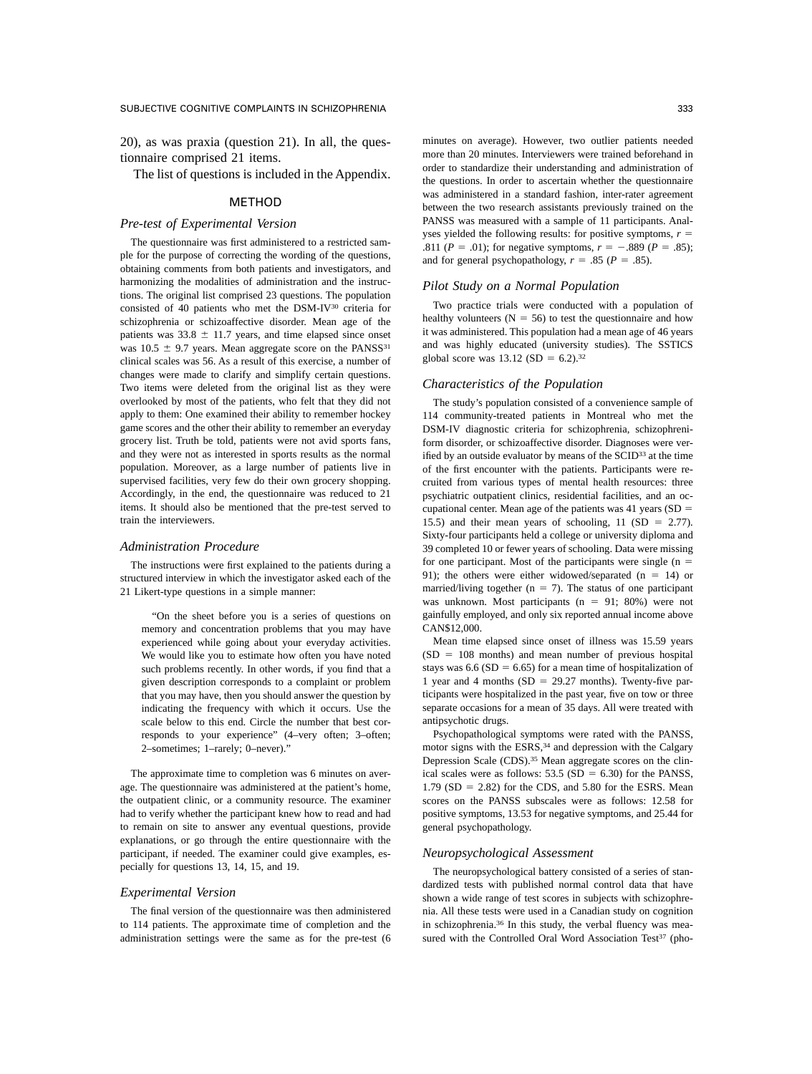20), as was praxia (question 21). In all, the questionnaire comprised 21 items.

The list of questions is included in the Appendix.

# METHOD

# *Pre-test of Experimental Version*

The questionnaire was first administered to a restricted sample for the purpose of correcting the wording of the questions, obtaining comments from both patients and investigators, and harmonizing the modalities of administration and the instructions. The original list comprised 23 questions. The population consisted of 40 patients who met the DSM-IV30 criteria for schizophrenia or schizoaffective disorder. Mean age of the patients was  $33.8 \pm 11.7$  years, and time elapsed since onset was  $10.5 \pm 9.7$  years. Mean aggregate score on the PANSS<sup>31</sup> clinical scales was 56. As a result of this exercise, a number of changes were made to clarify and simplify certain questions. Two items were deleted from the original list as they were overlooked by most of the patients, who felt that they did not apply to them: One examined their ability to remember hockey game scores and the other their ability to remember an everyday grocery list. Truth be told, patients were not avid sports fans, and they were not as interested in sports results as the normal population. Moreover, as a large number of patients live in supervised facilities, very few do their own grocery shopping. Accordingly, in the end, the questionnaire was reduced to 21 items. It should also be mentioned that the pre-test served to train the interviewers.

#### *Administration Procedure*

The instructions were first explained to the patients during a structured interview in which the investigator asked each of the 21 Likert-type questions in a simple manner:

"On the sheet before you is a series of questions on memory and concentration problems that you may have experienced while going about your everyday activities. We would like you to estimate how often you have noted such problems recently. In other words, if you find that a given description corresponds to a complaint or problem that you may have, then you should answer the question by indicating the frequency with which it occurs. Use the scale below to this end. Circle the number that best corresponds to your experience" (4–very often; 3–often; 2–sometimes; 1–rarely; 0–never)."

The approximate time to completion was 6 minutes on average. The questionnaire was administered at the patient's home, the outpatient clinic, or a community resource. The examiner had to verify whether the participant knew how to read and had to remain on site to answer any eventual questions, provide explanations, or go through the entire questionnaire with the participant, if needed. The examiner could give examples, especially for questions 13, 14, 15, and 19.

## *Experimental Version*

The final version of the questionnaire was then administered to 114 patients. The approximate time of completion and the administration settings were the same as for the pre-test (6 minutes on average). However, two outlier patients needed more than 20 minutes. Interviewers were trained beforehand in order to standardize their understanding and administration of the questions. In order to ascertain whether the questionnaire was administered in a standard fashion, inter-rater agreement between the two research assistants previously trained on the PANSS was measured with a sample of 11 participants. Analyses yielded the following results: for positive symptoms,  $r =$ .811 ( $P = .01$ ); for negative symptoms,  $r = -.889$  ( $P = .85$ ); and for general psychopathology,  $r = .85$  ( $P = .85$ ).

## *Pilot Study on a Normal Population*

Two practice trials were conducted with a population of healthy volunteers ( $N = 56$ ) to test the questionnaire and how it was administered. This population had a mean age of 46 years and was highly educated (university studies). The SSTICS global score was  $13.12$  (SD = 6.2).<sup>32</sup>

## *Characteristics of the Population*

The study's population consisted of a convenience sample of 114 community-treated patients in Montreal who met the DSM-IV diagnostic criteria for schizophrenia, schizophreniform disorder, or schizoaffective disorder. Diagnoses were verified by an outside evaluator by means of the SCID<sup>33</sup> at the time of the first encounter with the patients. Participants were recruited from various types of mental health resources: three psychiatric outpatient clinics, residential facilities, and an occupational center. Mean age of the patients was  $41$  years (SD = 15.5) and their mean years of schooling,  $11$  (SD = 2.77). Sixty-four participants held a college or university diploma and 39 completed 10 or fewer years of schooling. Data were missing for one participant. Most of the participants were single  $(n =$ 91); the others were either widowed/separated  $(n = 14)$  or married/living together  $(n = 7)$ . The status of one participant was unknown. Most participants  $(n = 91; 80%)$  were not gainfully employed, and only six reported annual income above CAN\$12,000.

Mean time elapsed since onset of illness was 15.59 years  $(SD = 108$  months) and mean number of previous hospital stays was  $6.6$  (SD =  $6.65$ ) for a mean time of hospitalization of 1 year and 4 months  $(SD = 29.27 \text{ months})$ . Twenty-five participants were hospitalized in the past year, five on tow or three separate occasions for a mean of 35 days. All were treated with antipsychotic drugs.

Psychopathological symptoms were rated with the PANSS, motor signs with the ESRS,<sup>34</sup> and depression with the Calgary Depression Scale (CDS).<sup>35</sup> Mean aggregate scores on the clinical scales were as follows:  $53.5$  (SD = 6.30) for the PANSS,  $1.79$  (SD = 2.82) for the CDS, and 5.80 for the ESRS. Mean scores on the PANSS subscales were as follows: 12.58 for positive symptoms, 13.53 for negative symptoms, and 25.44 for general psychopathology.

#### *Neuropsychological Assessment*

The neuropsychological battery consisted of a series of standardized tests with published normal control data that have shown a wide range of test scores in subjects with schizophrenia. All these tests were used in a Canadian study on cognition in schizophrenia.36 In this study, the verbal fluency was measured with the Controlled Oral Word Association Test<sup>37</sup> (pho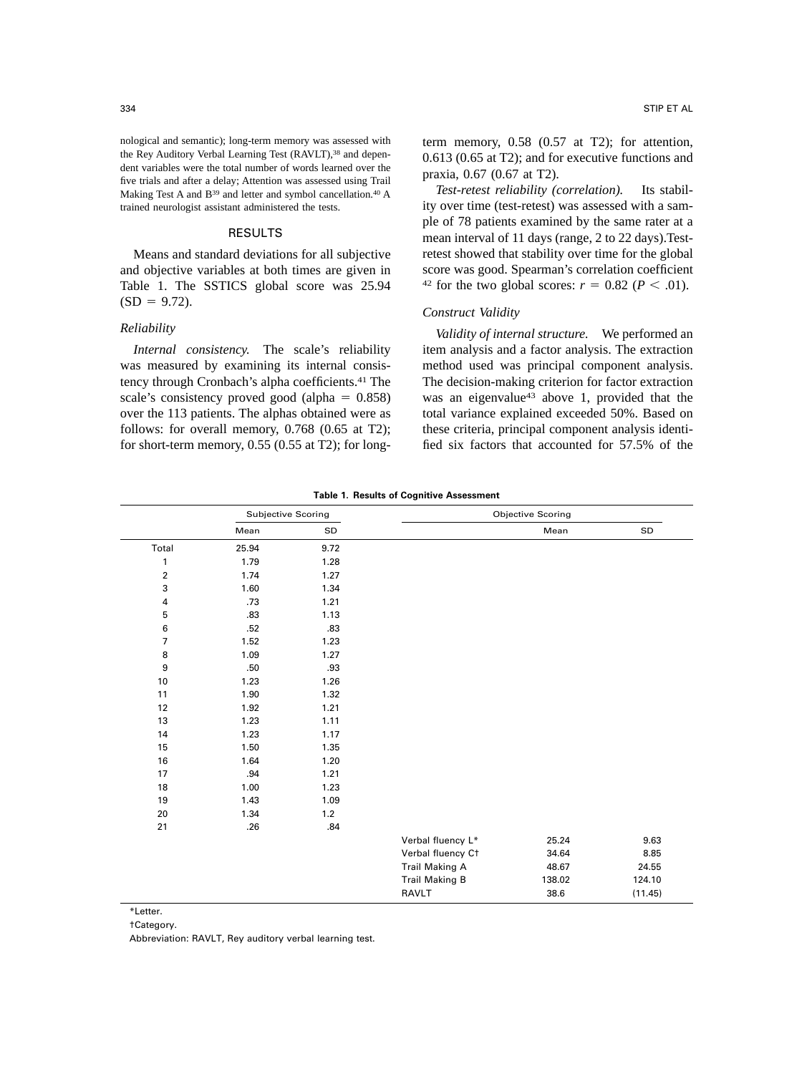nological and semantic); long-term memory was assessed with the Rey Auditory Verbal Learning Test (RAVLT),<sup>38</sup> and dependent variables were the total number of words learned over the five trials and after a delay; Attention was assessed using Trail Making Test A and B<sup>39</sup> and letter and symbol cancellation.<sup>40</sup> A trained neurologist assistant administered the tests.

# RESULTS

Means and standard deviations for all subjective and objective variables at both times are given in Table 1. The SSTICS global score was 25.94  $(SD = 9.72)$ .

#### *Reliability*

*Internal consistency.* The scale's reliability was measured by examining its internal consistency through Cronbach's alpha coefficients.41 The scale's consistency proved good (alpha  $= 0.858$ ) over the 113 patients. The alphas obtained were as follows: for overall memory, 0.768 (0.65 at T2); for short-term memory, 0.55 (0.55 at T2); for longterm memory, 0.58 (0.57 at T2); for attention, 0.613 (0.65 at T2); and for executive functions and praxia, 0.67 (0.67 at T2).

*Test-retest reliability (correlation).* Its stability over time (test-retest) was assessed with a sample of 78 patients examined by the same rater at a mean interval of 11 days (range, 2 to 22 days).Testretest showed that stability over time for the global score was good. Spearman's correlation coefficient <sup>42</sup> for the two global scores:  $r = 0.82$  ( $P < .01$ ).

# *Construct Validity*

*Validity of internal structure.* We performed an item analysis and a factor analysis. The extraction method used was principal component analysis. The decision-making criterion for factor extraction was an eigenvalue<sup>43</sup> above 1, provided that the total variance explained exceeded 50%. Based on these criteria, principal component analysis identified six factors that accounted for 57.5% of the

|                         | <b>Subjective Scoring</b> |      | <b>Objective Scoring</b> |        |         |
|-------------------------|---------------------------|------|--------------------------|--------|---------|
|                         | Mean                      | SD   |                          | Mean   | SD      |
| Total                   | 25.94                     | 9.72 |                          |        |         |
| 1                       | 1.79                      | 1.28 |                          |        |         |
| $\overline{2}$          | 1.74                      | 1.27 |                          |        |         |
| 3                       | 1.60                      | 1.34 |                          |        |         |
| $\overline{\mathbf{4}}$ | .73                       | 1.21 |                          |        |         |
| 5                       | .83                       | 1.13 |                          |        |         |
| 6                       | .52                       | .83  |                          |        |         |
| $\overline{7}$          | 1.52                      | 1.23 |                          |        |         |
| 8                       | 1.09                      | 1.27 |                          |        |         |
| $\boldsymbol{9}$        | .50                       | .93  |                          |        |         |
| $10\,$                  | 1.23                      | 1.26 |                          |        |         |
| 11                      | 1.90                      | 1.32 |                          |        |         |
| 12                      | 1.92                      | 1.21 |                          |        |         |
| 13                      | 1.23                      | 1.11 |                          |        |         |
| 14                      | 1.23                      | 1.17 |                          |        |         |
| 15                      | 1.50                      | 1.35 |                          |        |         |
| 16                      | 1.64                      | 1.20 |                          |        |         |
| 17                      | .94                       | 1.21 |                          |        |         |
| 18                      | 1.00                      | 1.23 |                          |        |         |
| 19                      | 1.43                      | 1.09 |                          |        |         |
| 20                      | 1.34                      | 1.2  |                          |        |         |
| 21                      | .26                       | .84  |                          |        |         |
|                         |                           |      | Verbal fluency L*        | 25.24  | 9.63    |
|                         |                           |      | Verbal fluency Ct        | 34.64  | 8.85    |
|                         |                           |      | Trail Making A           | 48.67  | 24.55   |
|                         |                           |      | <b>Trail Making B</b>    | 138.02 | 124.10  |
|                         |                           |      | <b>RAVLT</b>             | 38.6   | (11.45) |

**Table 1. Results of Cognitive Assessment**

\*Letter.

†Category.

Abbreviation: RAVLT, Rey auditory verbal learning test.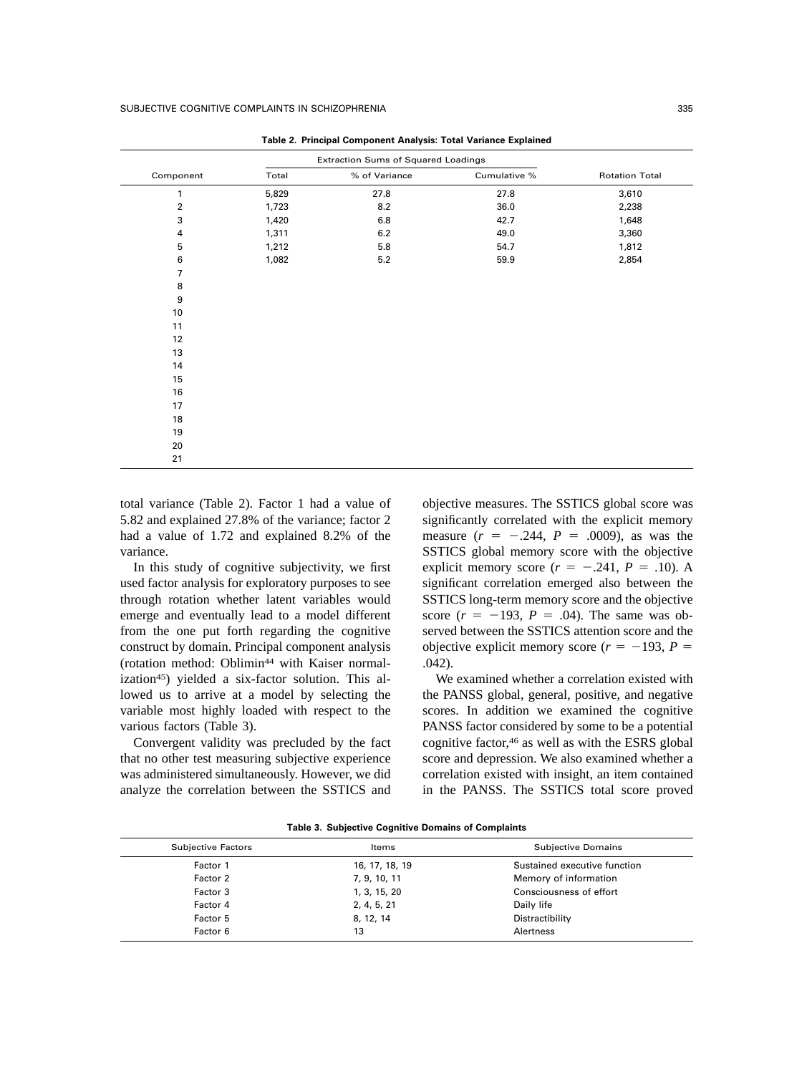Component Extraction Sums of Squared Loadings Total % of Variance Cumulative % Rotation Total 1 5,829 27.8 27.8 3,610 2 1,723 8.2 36.0 2,238 3 1,420 6.8 42.7 1,648 4 1,311 6.2 49.0 3,360 5 1,212 5.8 54.7 1,812 6 1,082 5.2 59.9 2,854 7 8 9 10 11 12 13 14 15 16 17 18 19 20 21

**Table 2. Principal Component Analysis: Total Variance Explained**

total variance (Table 2). Factor 1 had a value of 5.82 and explained 27.8% of the variance; factor 2 had a value of 1.72 and explained 8.2% of the variance.

In this study of cognitive subjectivity, we first used factor analysis for exploratory purposes to see through rotation whether latent variables would emerge and eventually lead to a model different from the one put forth regarding the cognitive construct by domain. Principal component analysis (rotation method: Oblimin<sup>44</sup> with Kaiser normalization<sup>45</sup>) yielded a six-factor solution. This allowed us to arrive at a model by selecting the variable most highly loaded with respect to the various factors (Table 3).

Convergent validity was precluded by the fact that no other test measuring subjective experience was administered simultaneously. However, we did analyze the correlation between the SSTICS and

objective measures. The SSTICS global score was significantly correlated with the explicit memory measure  $(r = -.244, P = .0009)$ , as was the SSTICS global memory score with the objective explicit memory score  $(r = -.241, P = .10)$ . A significant correlation emerged also between the SSTICS long-term memory score and the objective score  $(r = -193, P = .04)$ . The same was observed between the SSTICS attention score and the objective explicit memory score  $(r = -193, P =$ .042).

We examined whether a correlation existed with the PANSS global, general, positive, and negative scores. In addition we examined the cognitive PANSS factor considered by some to be a potential cognitive factor,46 as well as with the ESRS global score and depression. We also examined whether a correlation existed with insight, an item contained in the PANSS. The SSTICS total score proved

| <b>Subjective Factors</b> | Items          | <b>Subjective Domains</b>    |
|---------------------------|----------------|------------------------------|
| Factor 1                  | 16, 17, 18, 19 | Sustained executive function |
| Factor 2                  | 7, 9, 10, 11   | Memory of information        |
| Factor 3                  | 1, 3, 15, 20   | Consciousness of effort      |
| Factor 4                  | 2, 4, 5, 21    | Daily life                   |
| Factor 5                  | 8, 12, 14      | Distractibility              |
| Factor 6                  | 13             | Alertness                    |

**Table 3. Subjective Cognitive Domains of Complaints**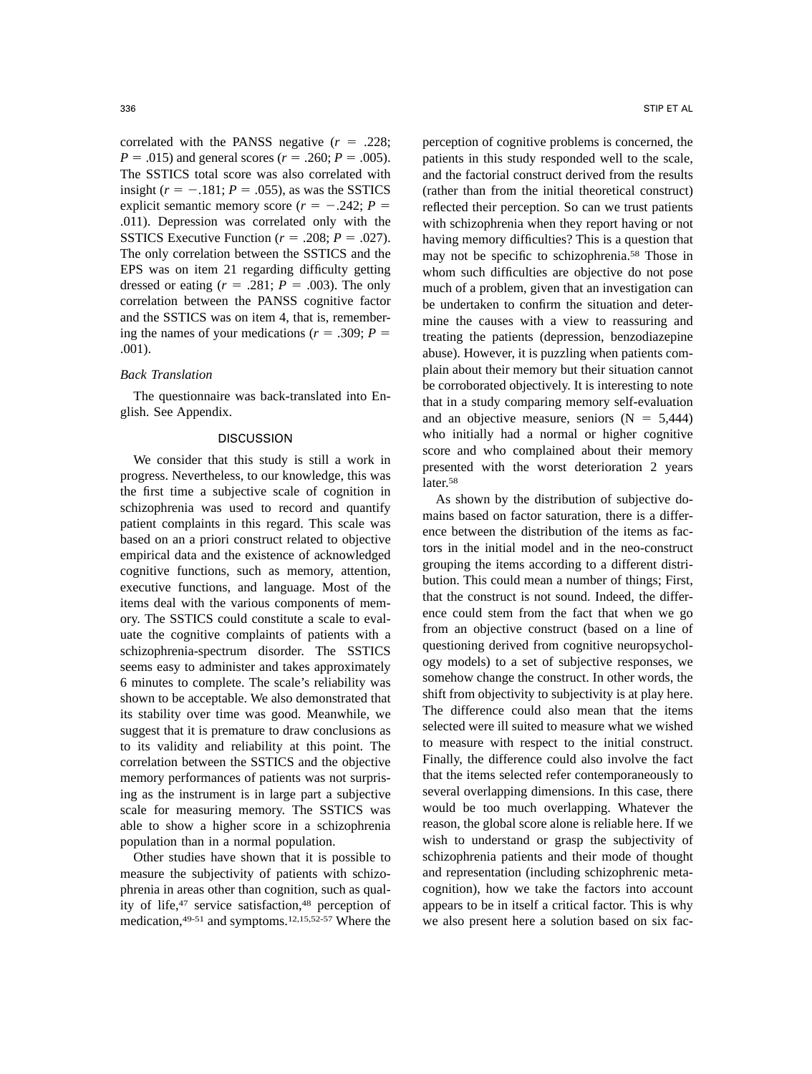correlated with the PANSS negative  $(r = .228)$ ;  $P = .015$ ) and general scores ( $r = .260$ ;  $P = .005$ ). The SSTICS total score was also correlated with insight  $(r = -.181; P = .055)$ , as was the SSTICS explicit semantic memory score  $(r = -.242; P = )$ .011). Depression was correlated only with the SSTICS Executive Function  $(r = .208; P = .027)$ . The only correlation between the SSTICS and the EPS was on item 21 regarding difficulty getting dressed or eating  $(r = .281; P = .003)$ . The only correlation between the PANSS cognitive factor and the SSTICS was on item 4, that is, remembering the names of your medications ( $r = .309$ ;  $P =$ .001).

## *Back Translation*

The questionnaire was back-translated into English. See Appendix.

# **DISCUSSION**

We consider that this study is still a work in progress. Nevertheless, to our knowledge, this was the first time a subjective scale of cognition in schizophrenia was used to record and quantify patient complaints in this regard. This scale was based on an a priori construct related to objective empirical data and the existence of acknowledged cognitive functions, such as memory, attention, executive functions, and language. Most of the items deal with the various components of memory. The SSTICS could constitute a scale to evaluate the cognitive complaints of patients with a schizophrenia-spectrum disorder. The SSTICS seems easy to administer and takes approximately 6 minutes to complete. The scale's reliability was shown to be acceptable. We also demonstrated that its stability over time was good. Meanwhile, we suggest that it is premature to draw conclusions as to its validity and reliability at this point. The correlation between the SSTICS and the objective memory performances of patients was not surprising as the instrument is in large part a subjective scale for measuring memory. The SSTICS was able to show a higher score in a schizophrenia population than in a normal population.

Other studies have shown that it is possible to measure the subjectivity of patients with schizophrenia in areas other than cognition, such as quality of life,<sup>47</sup> service satisfaction,<sup>48</sup> perception of medication,49-51 and symptoms.12,15,52-57 Where the perception of cognitive problems is concerned, the patients in this study responded well to the scale, and the factorial construct derived from the results (rather than from the initial theoretical construct) reflected their perception. So can we trust patients with schizophrenia when they report having or not having memory difficulties? This is a question that may not be specific to schizophrenia.58 Those in whom such difficulties are objective do not pose much of a problem, given that an investigation can be undertaken to confirm the situation and determine the causes with a view to reassuring and treating the patients (depression, benzodiazepine abuse). However, it is puzzling when patients complain about their memory but their situation cannot be corroborated objectively. It is interesting to note that in a study comparing memory self-evaluation and an objective measure, seniors  $(N = 5,444)$ who initially had a normal or higher cognitive score and who complained about their memory presented with the worst deterioration 2 years later.<sup>58</sup>

As shown by the distribution of subjective domains based on factor saturation, there is a difference between the distribution of the items as factors in the initial model and in the neo-construct grouping the items according to a different distribution. This could mean a number of things; First, that the construct is not sound. Indeed, the difference could stem from the fact that when we go from an objective construct (based on a line of questioning derived from cognitive neuropsychology models) to a set of subjective responses, we somehow change the construct. In other words, the shift from objectivity to subjectivity is at play here. The difference could also mean that the items selected were ill suited to measure what we wished to measure with respect to the initial construct. Finally, the difference could also involve the fact that the items selected refer contemporaneously to several overlapping dimensions. In this case, there would be too much overlapping. Whatever the reason, the global score alone is reliable here. If we wish to understand or grasp the subjectivity of schizophrenia patients and their mode of thought and representation (including schizophrenic metacognition), how we take the factors into account appears to be in itself a critical factor. This is why we also present here a solution based on six fac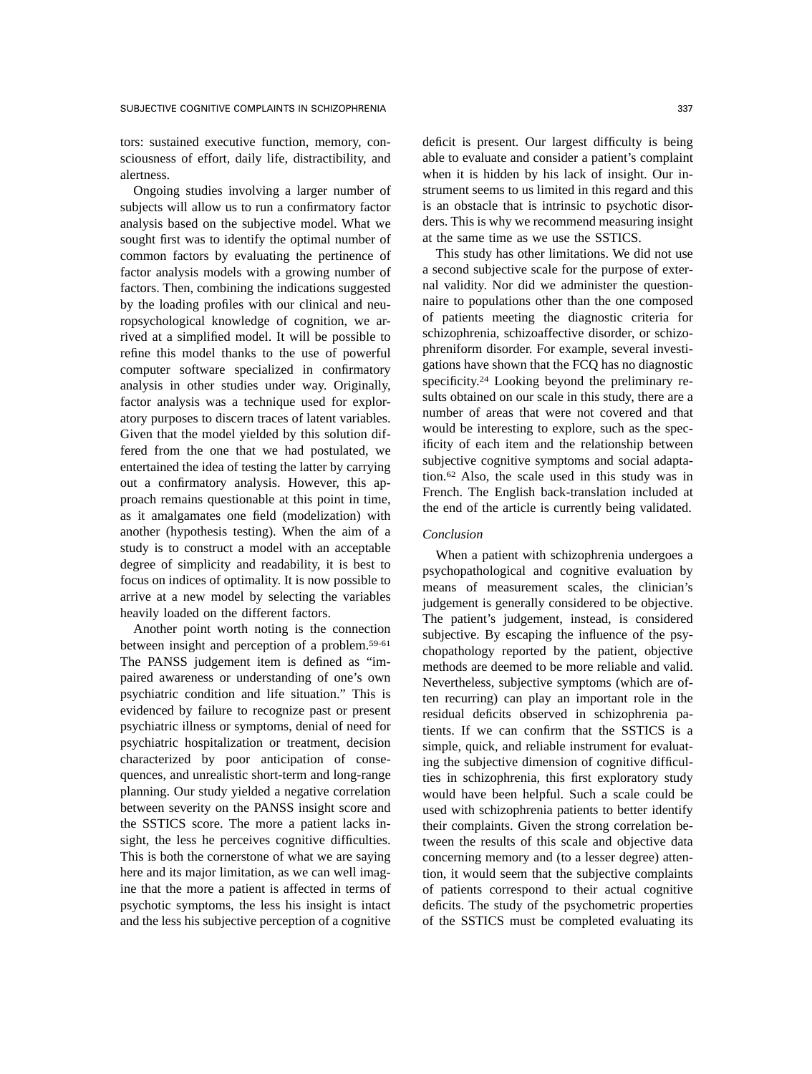tors: sustained executive function, memory, consciousness of effort, daily life, distractibility, and alertness.

Ongoing studies involving a larger number of subjects will allow us to run a confirmatory factor analysis based on the subjective model. What we sought first was to identify the optimal number of common factors by evaluating the pertinence of factor analysis models with a growing number of factors. Then, combining the indications suggested by the loading profiles with our clinical and neuropsychological knowledge of cognition, we arrived at a simplified model. It will be possible to refine this model thanks to the use of powerful computer software specialized in confirmatory analysis in other studies under way. Originally, factor analysis was a technique used for exploratory purposes to discern traces of latent variables. Given that the model yielded by this solution differed from the one that we had postulated, we entertained the idea of testing the latter by carrying out a confirmatory analysis. However, this approach remains questionable at this point in time, as it amalgamates one field (modelization) with another (hypothesis testing). When the aim of a study is to construct a model with an acceptable degree of simplicity and readability, it is best to focus on indices of optimality. It is now possible to arrive at a new model by selecting the variables heavily loaded on the different factors.

Another point worth noting is the connection between insight and perception of a problem.59-61 The PANSS judgement item is defined as "impaired awareness or understanding of one's own psychiatric condition and life situation." This is evidenced by failure to recognize past or present psychiatric illness or symptoms, denial of need for psychiatric hospitalization or treatment, decision characterized by poor anticipation of consequences, and unrealistic short-term and long-range planning. Our study yielded a negative correlation between severity on the PANSS insight score and the SSTICS score. The more a patient lacks insight, the less he perceives cognitive difficulties. This is both the cornerstone of what we are saying here and its major limitation, as we can well imagine that the more a patient is affected in terms of psychotic symptoms, the less his insight is intact and the less his subjective perception of a cognitive

deficit is present. Our largest difficulty is being able to evaluate and consider a patient's complaint when it is hidden by his lack of insight. Our instrument seems to us limited in this regard and this is an obstacle that is intrinsic to psychotic disorders. This is why we recommend measuring insight at the same time as we use the SSTICS.

This study has other limitations. We did not use a second subjective scale for the purpose of external validity. Nor did we administer the questionnaire to populations other than the one composed of patients meeting the diagnostic criteria for schizophrenia, schizoaffective disorder, or schizophreniform disorder. For example, several investigations have shown that the FCQ has no diagnostic specificity.24 Looking beyond the preliminary results obtained on our scale in this study, there are a number of areas that were not covered and that would be interesting to explore, such as the specificity of each item and the relationship between subjective cognitive symptoms and social adaptation.62 Also, the scale used in this study was in French. The English back-translation included at the end of the article is currently being validated.

# *Conclusion*

When a patient with schizophrenia undergoes a psychopathological and cognitive evaluation by means of measurement scales, the clinician's judgement is generally considered to be objective. The patient's judgement, instead, is considered subjective. By escaping the influence of the psychopathology reported by the patient, objective methods are deemed to be more reliable and valid. Nevertheless, subjective symptoms (which are often recurring) can play an important role in the residual deficits observed in schizophrenia patients. If we can confirm that the SSTICS is a simple, quick, and reliable instrument for evaluating the subjective dimension of cognitive difficulties in schizophrenia, this first exploratory study would have been helpful. Such a scale could be used with schizophrenia patients to better identify their complaints. Given the strong correlation between the results of this scale and objective data concerning memory and (to a lesser degree) attention, it would seem that the subjective complaints of patients correspond to their actual cognitive deficits. The study of the psychometric properties of the SSTICS must be completed evaluating its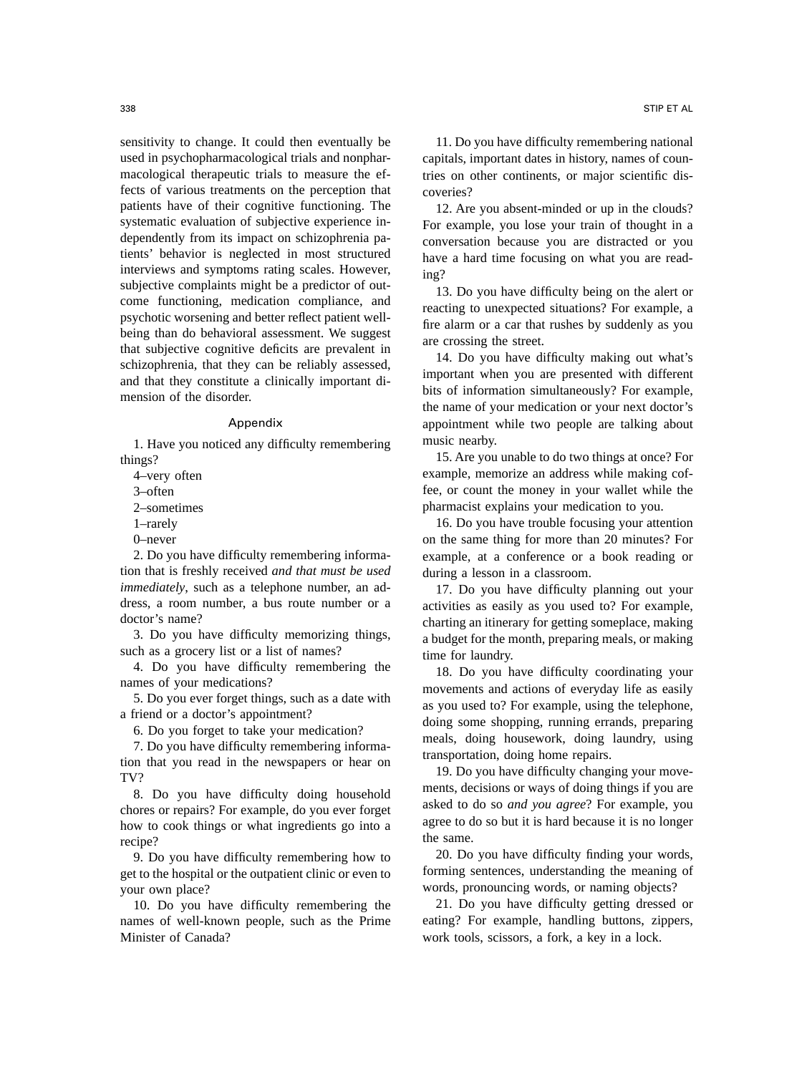sensitivity to change. It could then eventually be used in psychopharmacological trials and nonpharmacological therapeutic trials to measure the effects of various treatments on the perception that patients have of their cognitive functioning. The systematic evaluation of subjective experience independently from its impact on schizophrenia patients' behavior is neglected in most structured interviews and symptoms rating scales. However, subjective complaints might be a predictor of outcome functioning, medication compliance, and psychotic worsening and better reflect patient wellbeing than do behavioral assessment. We suggest that subjective cognitive deficits are prevalent in schizophrenia, that they can be reliably assessed, and that they constitute a clinically important dimension of the disorder.

# Appendix

1. Have you noticed any difficulty remembering things?

4–very often

3–often

2–sometimes

1–rarely

0–never

2. Do you have difficulty remembering information that is freshly received *and that must be used immediately*, such as a telephone number, an address, a room number, a bus route number or a doctor's name?

3. Do you have difficulty memorizing things, such as a grocery list or a list of names?

4. Do you have difficulty remembering the names of your medications?

5. Do you ever forget things, such as a date with a friend or a doctor's appointment?

6. Do you forget to take your medication?

7. Do you have difficulty remembering information that you read in the newspapers or hear on TV?

8. Do you have difficulty doing household chores or repairs? For example, do you ever forget how to cook things or what ingredients go into a recipe?

9. Do you have difficulty remembering how to get to the hospital or the outpatient clinic or even to your own place?

10. Do you have difficulty remembering the names of well-known people, such as the Prime Minister of Canada?

11. Do you have difficulty remembering national capitals, important dates in history, names of countries on other continents, or major scientific discoveries?

12. Are you absent-minded or up in the clouds? For example, you lose your train of thought in a conversation because you are distracted or you have a hard time focusing on what you are reading?

13. Do you have difficulty being on the alert or reacting to unexpected situations? For example, a fire alarm or a car that rushes by suddenly as you are crossing the street.

14. Do you have difficulty making out what's important when you are presented with different bits of information simultaneously? For example, the name of your medication or your next doctor's appointment while two people are talking about music nearby.

15. Are you unable to do two things at once? For example, memorize an address while making coffee, or count the money in your wallet while the pharmacist explains your medication to you.

16. Do you have trouble focusing your attention on the same thing for more than 20 minutes? For example, at a conference or a book reading or during a lesson in a classroom.

17. Do you have difficulty planning out your activities as easily as you used to? For example, charting an itinerary for getting someplace, making a budget for the month, preparing meals, or making time for laundry.

18. Do you have difficulty coordinating your movements and actions of everyday life as easily as you used to? For example, using the telephone, doing some shopping, running errands, preparing meals, doing housework, doing laundry, using transportation, doing home repairs.

19. Do you have difficulty changing your movements, decisions or ways of doing things if you are asked to do so *and you agree*? For example, you agree to do so but it is hard because it is no longer the same.

20. Do you have difficulty finding your words, forming sentences, understanding the meaning of words, pronouncing words, or naming objects?

21. Do you have difficulty getting dressed or eating? For example, handling buttons, zippers, work tools, scissors, a fork, a key in a lock.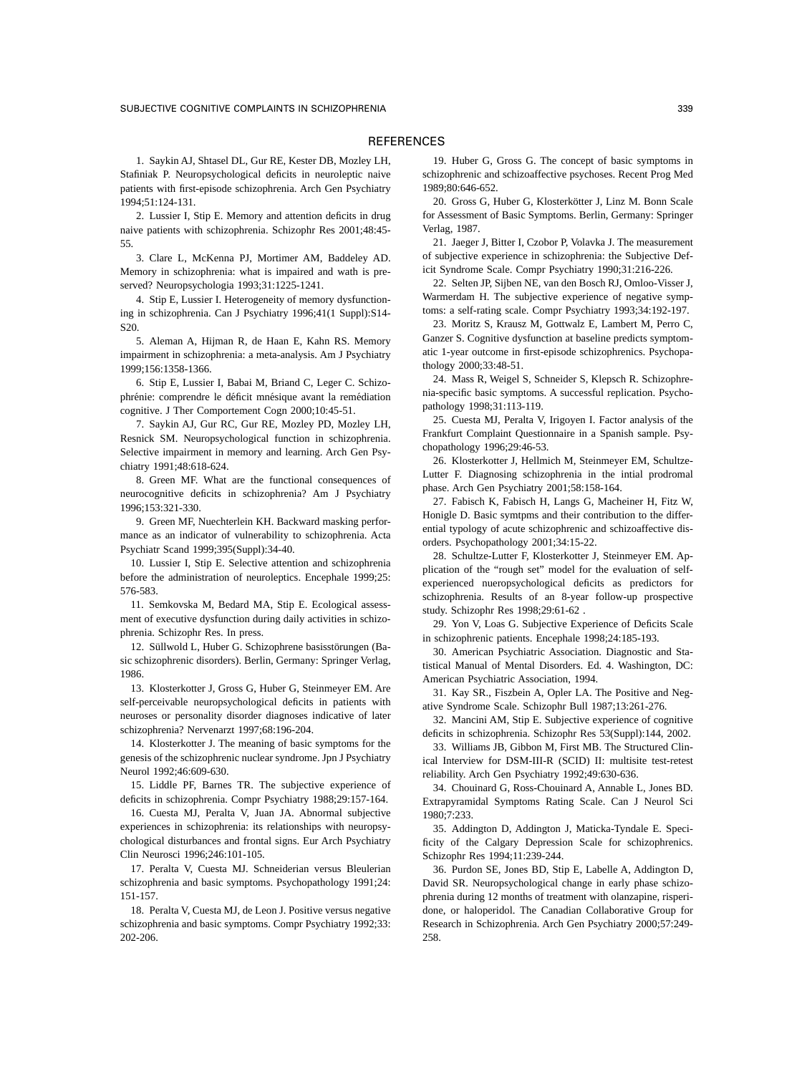#### REFERENCES

1. Saykin AJ, Shtasel DL, Gur RE, Kester DB, Mozley LH, Stafiniak P. Neuropsychological deficits in neuroleptic naive patients with first-episode schizophrenia. Arch Gen Psychiatry 1994;51:124-131.

2. Lussier I, Stip E. Memory and attention deficits in drug naive patients with schizophrenia. Schizophr Res 2001;48:45- 55.

3. Clare L, McKenna PJ, Mortimer AM, Baddeley AD. Memory in schizophrenia: what is impaired and wath is preserved? Neuropsychologia 1993;31:1225-1241.

4. Stip E, Lussier I. Heterogeneity of memory dysfunctioning in schizophrenia. Can J Psychiatry 1996;41(1 Suppl):S14- S20.

5. Aleman A, Hijman R, de Haan E, Kahn RS. Memory impairment in schizophrenia: a meta-analysis. Am J Psychiatry 1999;156:1358-1366.

6. Stip E, Lussier I, Babai M, Briand C, Leger C. Schizophrénie: comprendre le déficit mnésique avant la remédiation cognitive. J Ther Comportement Cogn 2000;10:45-51.

7. Saykin AJ, Gur RC, Gur RE, Mozley PD, Mozley LH, Resnick SM. Neuropsychological function in schizophrenia. Selective impairment in memory and learning. Arch Gen Psychiatry 1991;48:618-624.

8. Green MF. What are the functional consequences of neurocognitive deficits in schizophrenia? Am J Psychiatry 1996;153:321-330.

9. Green MF, Nuechterlein KH. Backward masking performance as an indicator of vulnerability to schizophrenia. Acta Psychiatr Scand 1999;395(Suppl):34-40.

10. Lussier I, Stip E. Selective attention and schizophrenia before the administration of neuroleptics. Encephale 1999;25: 576-583.

11. Semkovska M, Bedard MA, Stip E. Ecological assessment of executive dysfunction during daily activities in schizophrenia. Schizophr Res. In press.

12. Süllwold L, Huber G. Schizophrene basisstörungen (Basic schizophrenic disorders). Berlin, Germany: Springer Verlag, 1986.

13. Klosterkotter J, Gross G, Huber G, Steinmeyer EM. Are self-perceivable neuropsychological deficits in patients with neuroses or personality disorder diagnoses indicative of later schizophrenia? Nervenarzt 1997;68:196-204.

14. Klosterkotter J. The meaning of basic symptoms for the genesis of the schizophrenic nuclear syndrome. Jpn J Psychiatry Neurol 1992;46:609-630.

15. Liddle PF, Barnes TR. The subjective experience of deficits in schizophrenia. Compr Psychiatry 1988;29:157-164.

16. Cuesta MJ, Peralta V, Juan JA. Abnormal subjective experiences in schizophrenia: its relationships with neuropsychological disturbances and frontal signs. Eur Arch Psychiatry Clin Neurosci 1996;246:101-105.

17. Peralta V, Cuesta MJ. Schneiderian versus Bleulerian schizophrenia and basic symptoms. Psychopathology 1991;24: 151-157.

18. Peralta V, Cuesta MJ, de Leon J. Positive versus negative schizophrenia and basic symptoms. Compr Psychiatry 1992;33: 202-206.

19. Huber G, Gross G. The concept of basic symptoms in schizophrenic and schizoaffective psychoses. Recent Prog Med 1989;80:646-652.

20. Gross G, Huber G, Klosterkötter J, Linz M. Bonn Scale for Assessment of Basic Symptoms. Berlin, Germany: Springer Verlag, 1987.

21. Jaeger J, Bitter I, Czobor P, Volavka J. The measurement of subjective experience in schizophrenia: the Subjective Deficit Syndrome Scale. Compr Psychiatry 1990;31:216-226.

22. Selten JP, Sijben NE, van den Bosch RJ, Omloo-Visser J, Warmerdam H. The subjective experience of negative symptoms: a self-rating scale. Compr Psychiatry 1993;34:192-197.

23. Moritz S, Krausz M, Gottwalz E, Lambert M, Perro C, Ganzer S. Cognitive dysfunction at baseline predicts symptomatic 1-year outcome in first-episode schizophrenics. Psychopathology 2000;33:48-51.

24. Mass R, Weigel S, Schneider S, Klepsch R. Schizophrenia-specific basic symptoms. A successful replication. Psychopathology 1998;31:113-119.

25. Cuesta MJ, Peralta V, Irigoyen I. Factor analysis of the Frankfurt Complaint Questionnaire in a Spanish sample. Psychopathology 1996;29:46-53.

26. Klosterkotter J, Hellmich M, Steinmeyer EM, Schultze-Lutter F. Diagnosing schizophrenia in the intial prodromal phase. Arch Gen Psychiatry 2001;58:158-164.

27. Fabisch K, Fabisch H, Langs G, Macheiner H, Fitz W, Honigle D. Basic symtpms and their contribution to the differential typology of acute schizophrenic and schizoaffective disorders. Psychopathology 2001;34:15-22.

28. Schultze-Lutter F, Klosterkotter J, Steinmeyer EM. Application of the "rough set" model for the evaluation of selfexperienced nueropsychological deficits as predictors for schizophrenia. Results of an 8-year follow-up prospective study. Schizophr Res 1998;29:61-62 .

29. Yon V, Loas G. Subjective Experience of Deficits Scale in schizophrenic patients. Encephale 1998;24:185-193.

30. American Psychiatric Association. Diagnostic and Statistical Manual of Mental Disorders. Ed. 4. Washington, DC: American Psychiatric Association, 1994.

31. Kay SR., Fiszbein A, Opler LA. The Positive and Negative Syndrome Scale. Schizophr Bull 1987;13:261-276.

32. Mancini AM, Stip E. Subjective experience of cognitive deficits in schizophrenia. Schizophr Res 53(Suppl):144, 2002.

33. Williams JB, Gibbon M, First MB. The Structured Clinical Interview for DSM-III-R (SCID) II: multisite test-retest reliability. Arch Gen Psychiatry 1992;49:630-636.

34. Chouinard G, Ross-Chouinard A, Annable L, Jones BD. Extrapyramidal Symptoms Rating Scale. Can J Neurol Sci 1980;7:233.

35. Addington D, Addington J, Maticka-Tyndale E. Specificity of the Calgary Depression Scale for schizophrenics. Schizophr Res 1994;11:239-244.

36. Purdon SE, Jones BD, Stip E, Labelle A, Addington D, David SR. Neuropsychological change in early phase schizophrenia during 12 months of treatment with olanzapine, risperidone, or haloperidol. The Canadian Collaborative Group for Research in Schizophrenia. Arch Gen Psychiatry 2000;57:249- 258.